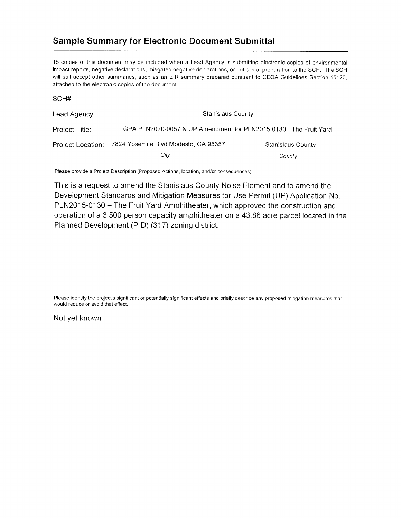## **Sample Summary for Electronic Document Submittal**

15 copies of this document may be included when a Lead Agency is submitting electronic copies of environmental impact reports, negative declarations, mitigated negative declarations, or notices of preparation to the SCH. The SCH will still accept other summaries, such as an EIR summary prepared pursuant to CEQA Guidelines Section 15123, attached to the electronic copies of the document.

| Lead Agency:      | <b>Stanislaus County</b>                                          |                   |
|-------------------|-------------------------------------------------------------------|-------------------|
| Project Title:    | GPA PLN2020-0057 & UP Amendment for PLN2015-0130 - The Fruit Yard |                   |
| Project Location: | 7824 Yosemite Blvd Modesto, CA 95357                              | Stanislaus County |
|                   | City                                                              | County            |

Please provide a Project Description (Proposed Actions, location, and/or consequences).

This is a request to amend the Stanislaus County Noise Element and to amend the Development Standards and Mitigation Measures for Use Permit (UP) Application No. PLN2015-0130 - The Fruit Yard Amphitheater, which approved the construction and operation of a 3,500 person capacity amphitheater on a 43.86 acre parcel located in the Planned Development (P-D) (317) zoning district.

Please identify the project's significant or potentially significant effects and briefly describe any proposed mitigation measures that would reduce or avoid that effect.

## Not yet known